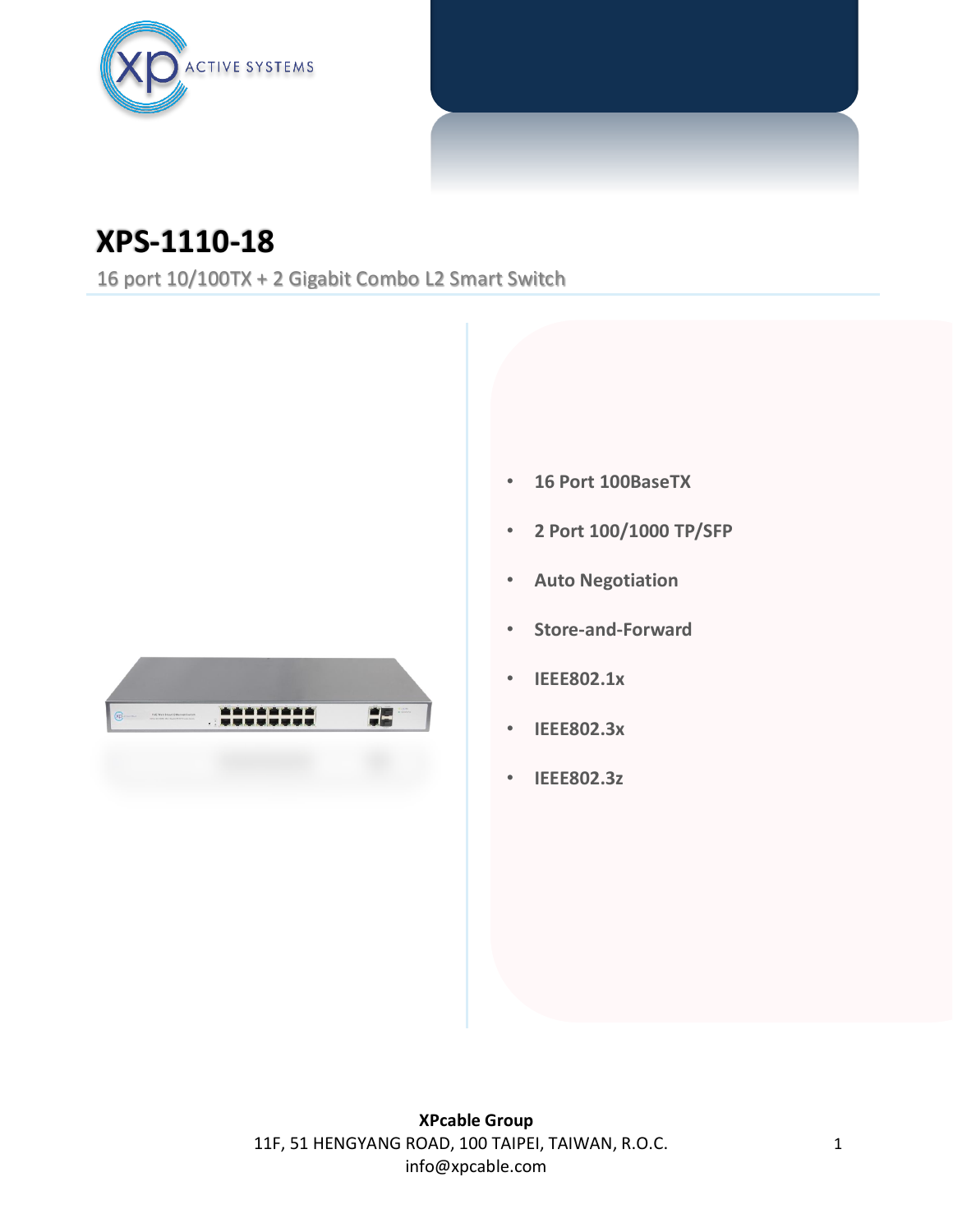

## **XPS-1110-18**

16 port 10/100TX + 2 Gigabit Combo L2 Smart Switch



- **16 Port 100BaseTX**
- **2 Port 100/1000 TP/SFP**
- **Auto Negotiation**
- **Store-and-Forward**
- **IEEE802.1x**
- **IEEE802.3x**
- **IEEE802.3z**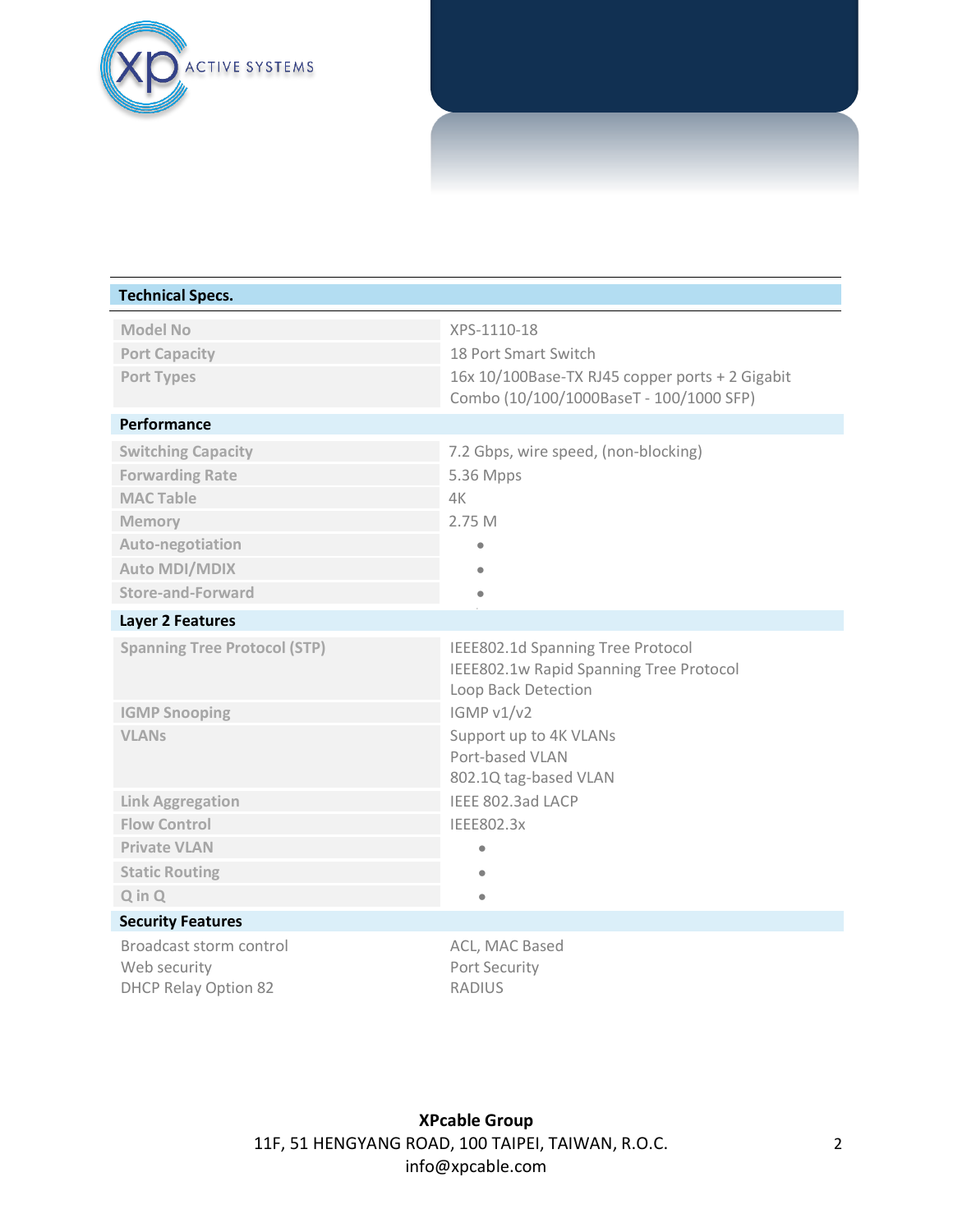

| <b>Technical Specs.</b>                                                |                                                                                                     |  |
|------------------------------------------------------------------------|-----------------------------------------------------------------------------------------------------|--|
| <b>Model No</b>                                                        | XPS-1110-18                                                                                         |  |
| <b>Port Capacity</b>                                                   | 18 Port Smart Switch                                                                                |  |
| Port Types                                                             | 16x 10/100Base-TX RJ45 copper ports + 2 Gigabit<br>Combo (10/100/1000BaseT - 100/1000 SFP)          |  |
| Performance                                                            |                                                                                                     |  |
| <b>Switching Capacity</b>                                              | 7.2 Gbps, wire speed, (non-blocking)                                                                |  |
| <b>Forwarding Rate</b>                                                 | 5.36 Mpps                                                                                           |  |
| <b>MAC Table</b>                                                       | 4K                                                                                                  |  |
| Memory                                                                 | 2.75 M                                                                                              |  |
| Auto-negotiation                                                       |                                                                                                     |  |
| <b>Auto MDI/MDIX</b>                                                   |                                                                                                     |  |
| <b>Store-and-Forward</b>                                               | $\bullet$                                                                                           |  |
| <b>Layer 2 Features</b>                                                |                                                                                                     |  |
| <b>Spanning Tree Protocol (STP)</b>                                    | IEEE802.1d Spanning Tree Protocol<br>IEEE802.1w Rapid Spanning Tree Protocol<br>Loop Back Detection |  |
| <b>IGMP Snooping</b>                                                   | IGMP v1/v2                                                                                          |  |
| <b>VLANs</b>                                                           | Support up to 4K VLANs<br>Port-based VLAN<br>802.1Q tag-based VLAN                                  |  |
| <b>Link Aggregation</b>                                                | IEEE 802.3ad LACP                                                                                   |  |
| <b>Flow Control</b>                                                    | IEEE802.3x                                                                                          |  |
| <b>Private VLAN</b>                                                    |                                                                                                     |  |
| <b>Static Routing</b>                                                  |                                                                                                     |  |
| $Q$ in $Q$                                                             | $\bullet$                                                                                           |  |
| <b>Security Features</b>                                               |                                                                                                     |  |
| Broadcast storm control<br>Web security<br><b>DHCP Relay Option 82</b> | ACL, MAC Based<br>Port Security<br><b>RADIUS</b>                                                    |  |